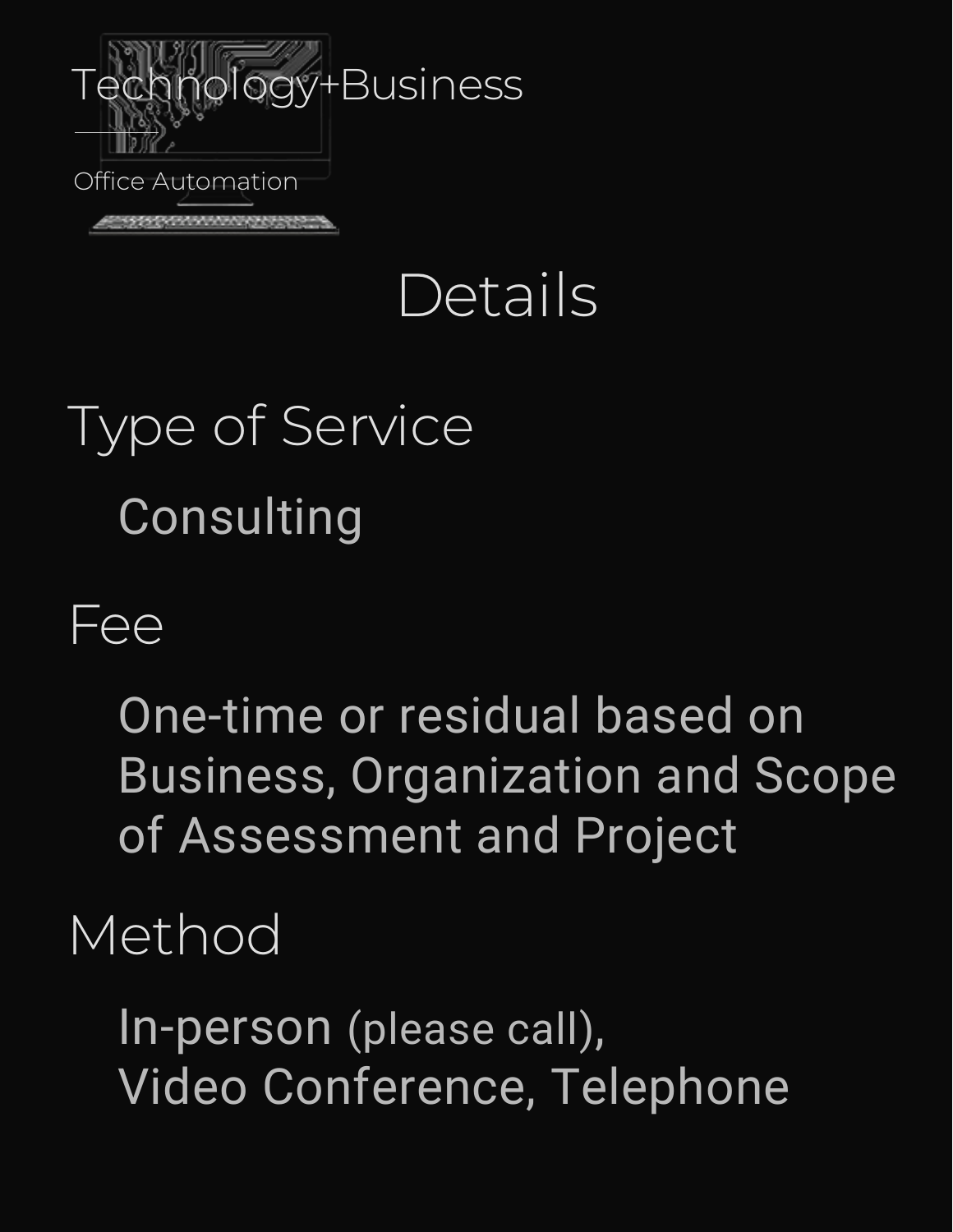

## Details

# Type of Service Consulting

#### Fee

One-time or residual based on Business, Organization and Scope of Assessment and Project

#### Method

In-person (please call), Video Conference, Telephone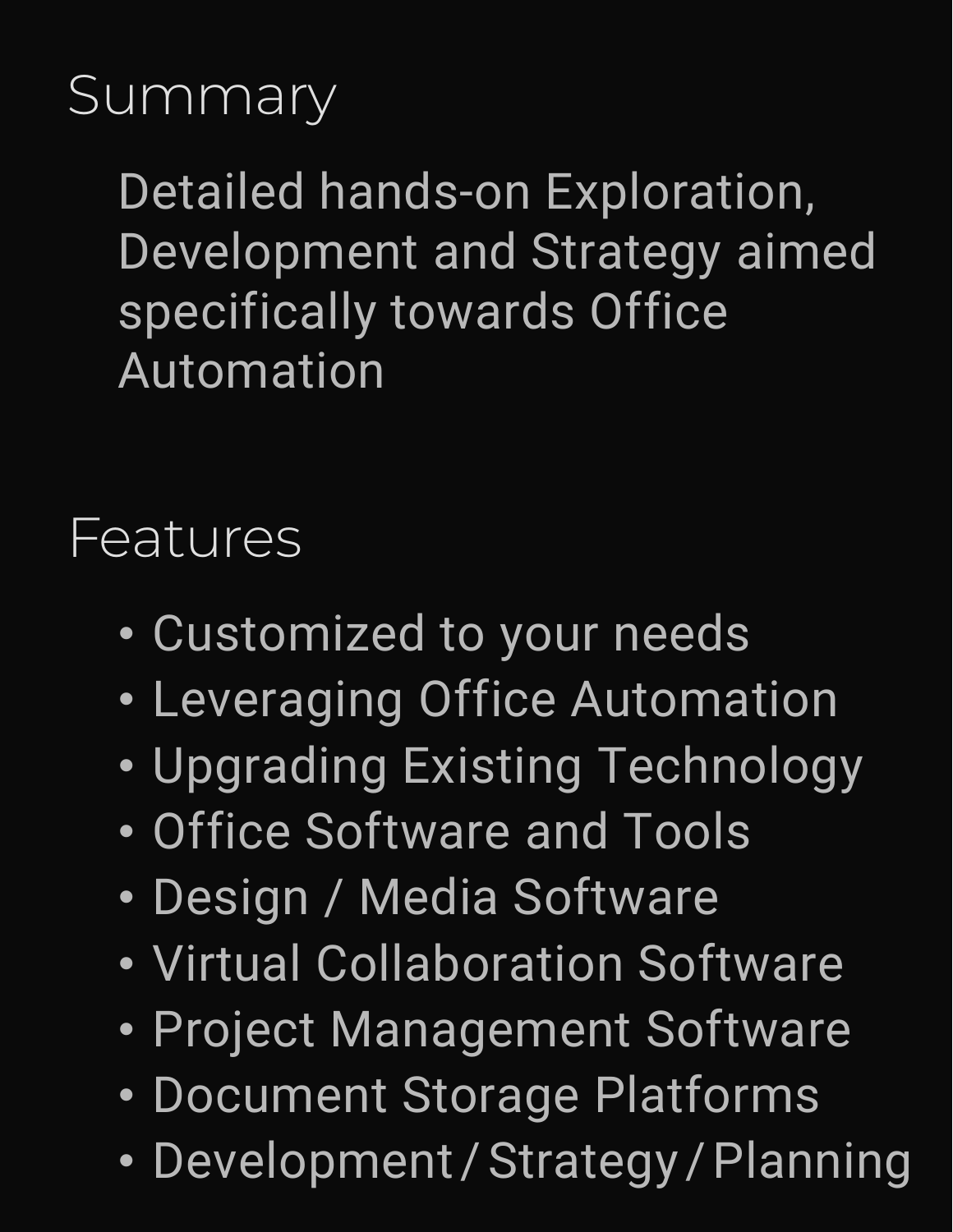### **Summary**

Detailed hands-on Exploration, Development and Strategy aimed specifically towards Office Automation

#### Features

- Customized to your needs
- Leveraging Office Automation
- Upgrading Existing Technology
- Office Software and Tools
- Design / Media Software
- Virtual Collaboration Software
- Project Management Software
- Document Storage Platforms
- Development/Strategy/Planning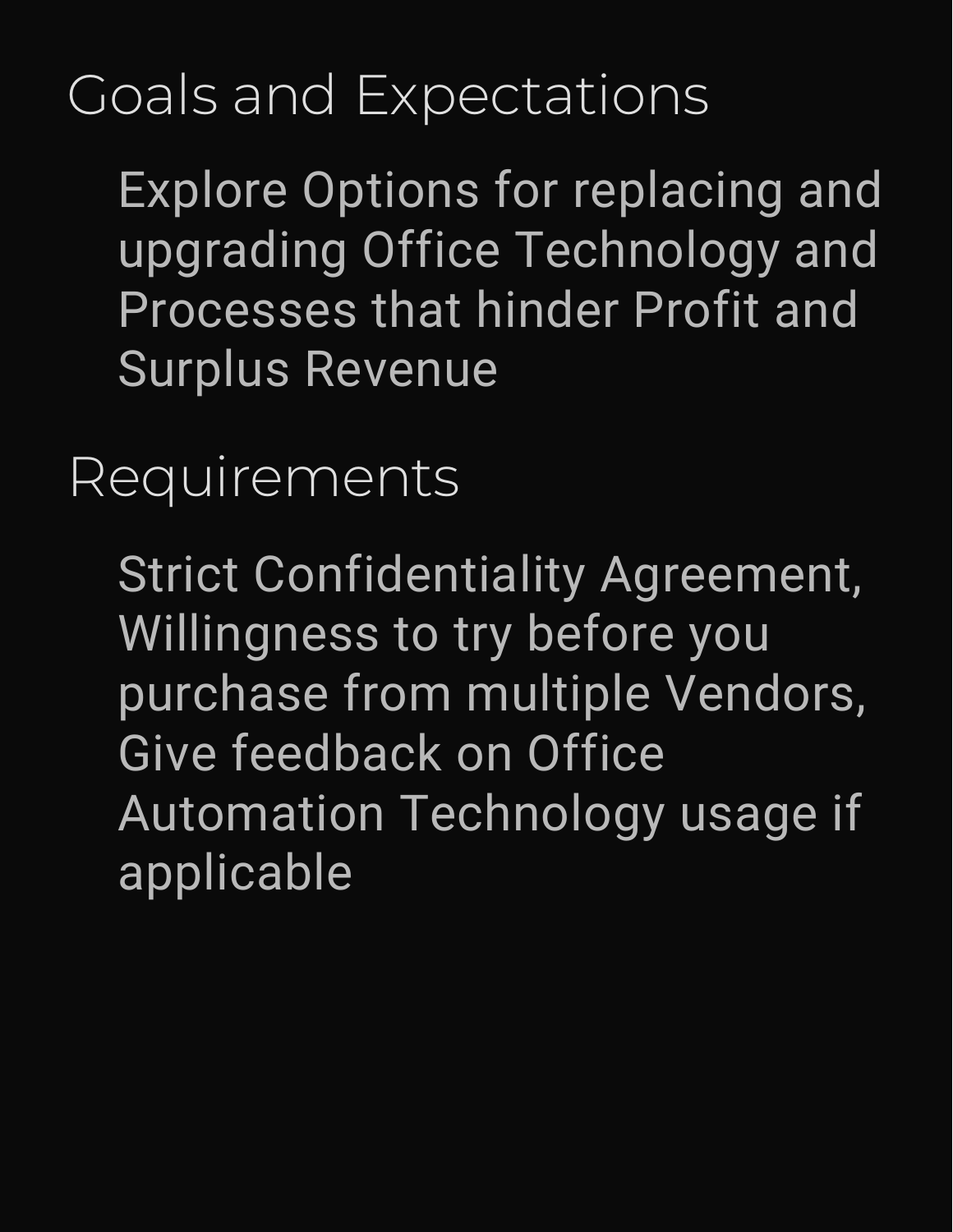### Goals and Expectations

Explore Options for replacing and upgrading Office Technology and Processes that hinder Profit and Surplus Revenue

#### Requirements

Strict Confidentiality Agreement, Willingness to try before you purchase from multiple Vendors, Give feedback on Office Automation Technology usage if applicable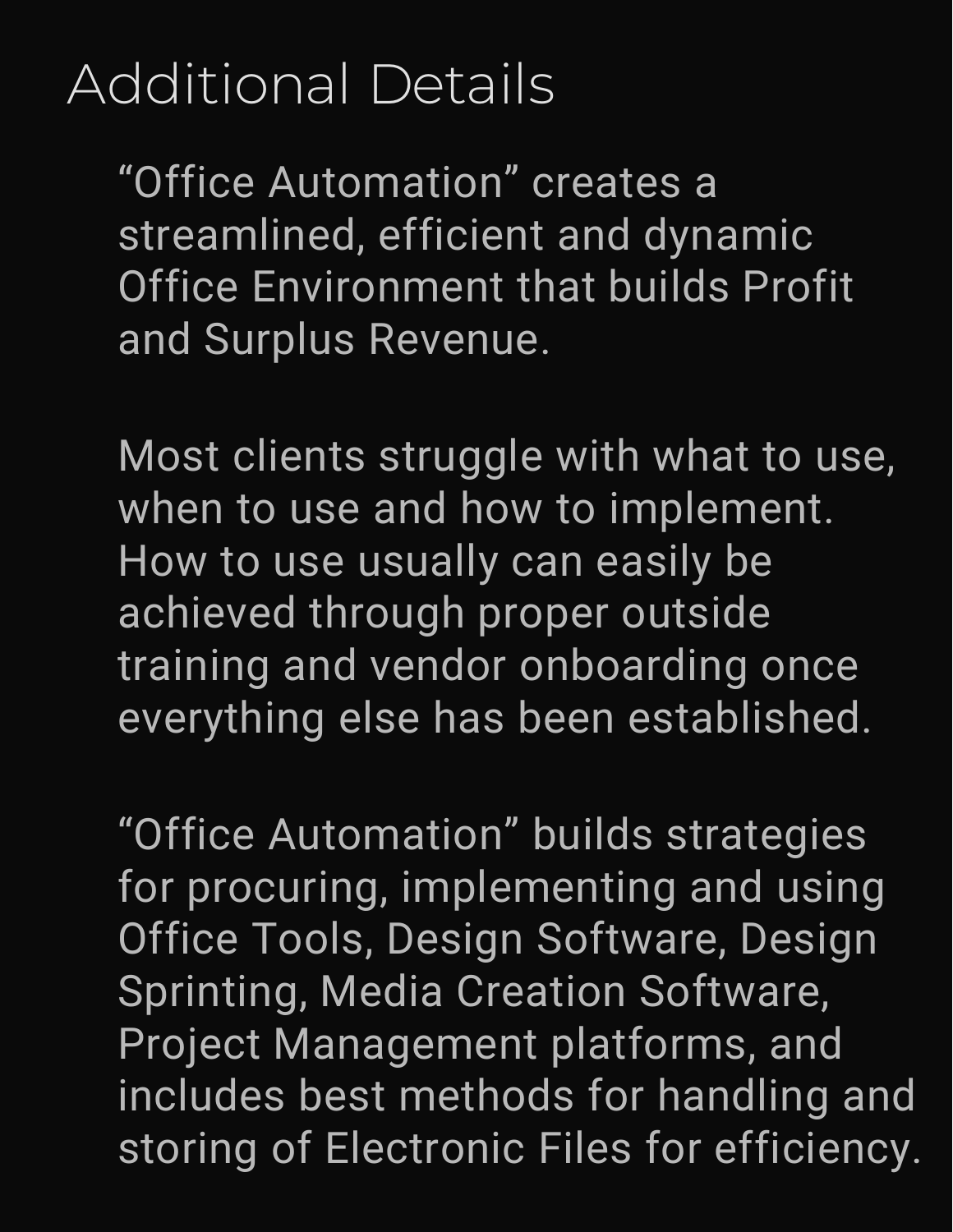#### Additional Details

"Office Automation" creates a streamlined, efficient and dynamic **Office Environment that builds Profit** and Surplus Revenue.

Most clients struggle with what to use, when to use and how to implement. How to use usually can easily be achieved through proper outside training and vendor onboarding once everything else has been established.

"Office Automation" builds strategies for procuring, implementing and using Office Tools, Design Software, Design Sprinting, Media Creation Software, Project Management platforms, and includes best methods for handling and storing of Electronic Files for efficiency.